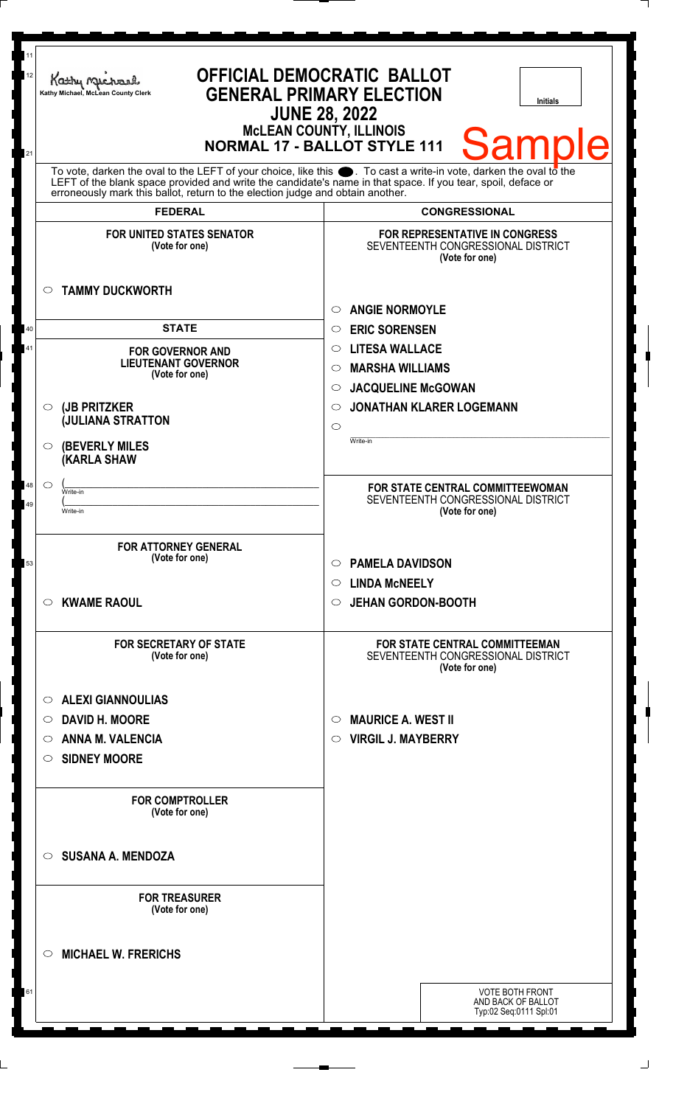| 11<br>12 | Kathy Michael<br>Kathy Michael, McLean County Clerk     | <b>OFFICIAL DEMOCRATIC BALLOT</b><br><b>GENERAL PRIMARY ELECTION</b><br><b>Initials</b><br><b>JUNE 28, 2022</b><br><b>MCLEAN COUNTY, ILLINOIS</b>                                                                                                                                                                            |
|----------|---------------------------------------------------------|------------------------------------------------------------------------------------------------------------------------------------------------------------------------------------------------------------------------------------------------------------------------------------------------------------------------------|
| 21       |                                                         | <b>Sample</b><br><b>NORMAL 17 - BALLOT STYLE 111</b>                                                                                                                                                                                                                                                                         |
|          |                                                         | To vote, darken the oval to the LEFT of your choice, like this $\bullet$ . To cast a write-in vote, darken the oval to the<br>LEFT of the blank space provided and write the candidate's name in that space. If you tear, spoil, deface or<br>erroneously mark this ballot, return to the election judge and obtain another. |
|          | <b>FEDERAL</b>                                          | <b>CONGRESSIONAL</b>                                                                                                                                                                                                                                                                                                         |
|          | <b>FOR UNITED STATES SENATOR</b><br>(Vote for one)      | <b>FOR REPRESENTATIVE IN CONGRESS</b><br>SEVENTEENTH CONGRESSIONAL DISTRICT<br>(Vote for one)                                                                                                                                                                                                                                |
|          | <b>TAMMY DUCKWORTH</b><br>$\circ$                       | <b>ANGIE NORMOYLE</b><br>O                                                                                                                                                                                                                                                                                                   |
| 40       | <b>STATE</b>                                            | <b>ERIC SORENSEN</b><br>$\circ$                                                                                                                                                                                                                                                                                              |
| 41       | <b>FOR GOVERNOR AND</b>                                 | <b>LITESA WALLACE</b><br>$\circ$                                                                                                                                                                                                                                                                                             |
|          | <b>LIEUTENANT GOVERNOR</b>                              | <b>MARSHA WILLIAMS</b><br>$\circ$                                                                                                                                                                                                                                                                                            |
|          | (Vote for one)                                          | <b>JACQUELINE McGOWAN</b><br>$\circ$                                                                                                                                                                                                                                                                                         |
|          | (JB PRITZKER<br>$\circ$                                 | <b>JONATHAN KLARER LOGEMANN</b><br>◯                                                                                                                                                                                                                                                                                         |
|          | <b>JULIANA STRATTON</b>                                 | $\circ$                                                                                                                                                                                                                                                                                                                      |
|          | <b>(BEVERLY MILES)</b><br>$\circ$<br><b>(KARLA SHAW</b> | Write-in                                                                                                                                                                                                                                                                                                                     |
| 48       | $\circ$<br>Write-in                                     | <b>FOR STATE CENTRAL COMMITTEEWOMAN</b>                                                                                                                                                                                                                                                                                      |
|          | Write-in                                                | SEVENTEENTH CONGRESSIONAL DISTRICT<br>(Vote for one)                                                                                                                                                                                                                                                                         |
|          |                                                         |                                                                                                                                                                                                                                                                                                                              |
|          | <b>FOR ATTORNEY GENERAL</b>                             |                                                                                                                                                                                                                                                                                                                              |
| 53       | (Vote for one)                                          | <b>PAMELA DAVIDSON</b><br>$\circ$                                                                                                                                                                                                                                                                                            |
|          |                                                         | <b>LINDA MCNEELY</b><br>$\circ$                                                                                                                                                                                                                                                                                              |
|          | <b>KWAME RAOUL</b><br>$\circ$                           | <b>JEHAN GORDON-BOOTH</b><br>$\circ$                                                                                                                                                                                                                                                                                         |
|          | <b>FOR SECRETARY OF STATE</b><br>(Vote for one)         | FOR STATE CENTRAL COMMITTEEMAN<br>SEVENTEENTH CONGRESSIONAL DISTRICT<br>(Vote for one)                                                                                                                                                                                                                                       |
|          | <b>ALEXI GIANNOULIAS</b><br>$\circ$                     |                                                                                                                                                                                                                                                                                                                              |
|          | <b>DAVID H. MOORE</b><br>O                              | <b>MAURICE A. WEST II</b><br>O                                                                                                                                                                                                                                                                                               |
|          | <b>ANNA M. VALENCIA</b><br>$\circ$                      | <b>VIRGIL J. MAYBERRY</b><br>$\circ$                                                                                                                                                                                                                                                                                         |
|          | <b>SIDNEY MOORE</b><br>$\circ$                          |                                                                                                                                                                                                                                                                                                                              |
|          |                                                         |                                                                                                                                                                                                                                                                                                                              |
|          | <b>FOR COMPTROLLER</b><br>(Vote for one)                |                                                                                                                                                                                                                                                                                                                              |
|          | <b>SUSANA A. MENDOZA</b><br>$\circ$                     |                                                                                                                                                                                                                                                                                                                              |
|          | <b>FOR TREASURER</b><br>(Vote for one)                  |                                                                                                                                                                                                                                                                                                                              |
|          | <b>MICHAEL W. FRERICHS</b><br>$\circ$                   |                                                                                                                                                                                                                                                                                                                              |
| 61       |                                                         | <b>VOTE BOTH FRONT</b><br>AND BACK OF BALLOT<br>Typ:02 Seq:0111 Spl:01                                                                                                                                                                                                                                                       |